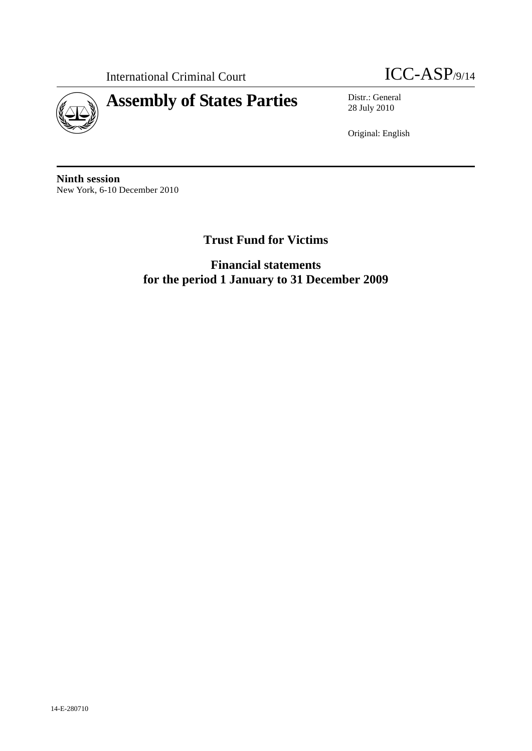



28 July 2010

Original: English

**Ninth session**  New York, 6-10 December 2010

# **Trust Fund for Victims**

**Financial statements for the period 1 January to 31 December 2009**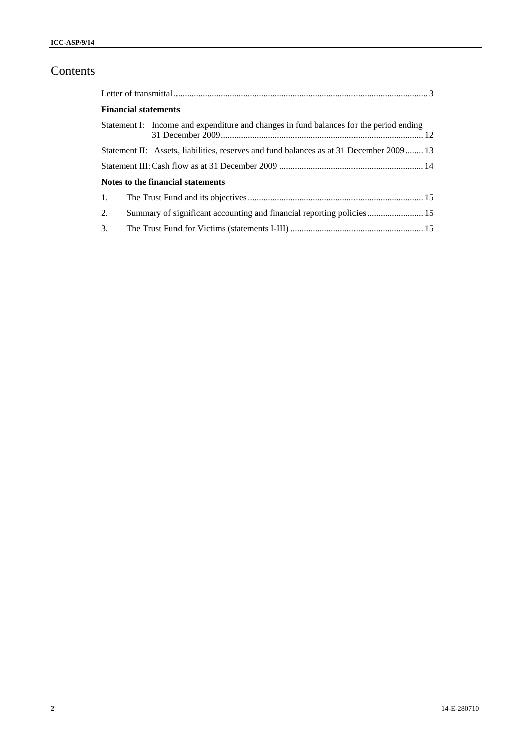# Contents

|                  | <b>Financial statements</b>                                                             |  |
|------------------|-----------------------------------------------------------------------------------------|--|
|                  | Statement I: Income and expenditure and changes in fund balances for the period ending  |  |
|                  | Statement II: Assets, liabilities, reserves and fund balances as at 31 December 2009 13 |  |
|                  |                                                                                         |  |
|                  | Notes to the financial statements                                                       |  |
| $\overline{1}$ . |                                                                                         |  |
| 2.               | Summary of significant accounting and financial reporting policies 15                   |  |
| 3.               |                                                                                         |  |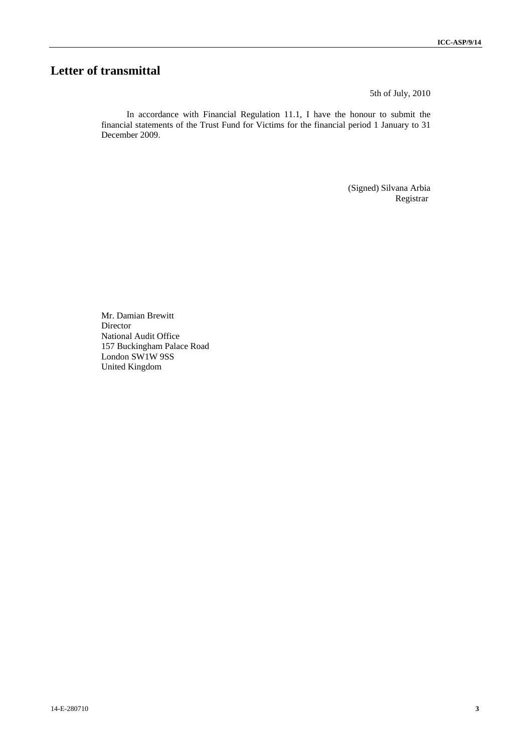# **Letter of transmittal**

5th of July, 2010

In accordance with Financial Regulation 11.1, I have the honour to submit the financial statements of the Trust Fund for Victims for the financial period 1 January to 31 December 2009.

> (Signed) Silvana Arbia Registrar

Mr. Damian Brewitt Director National Audit Office 157 Buckingham Palace Road London SW1W 9SS United Kingdom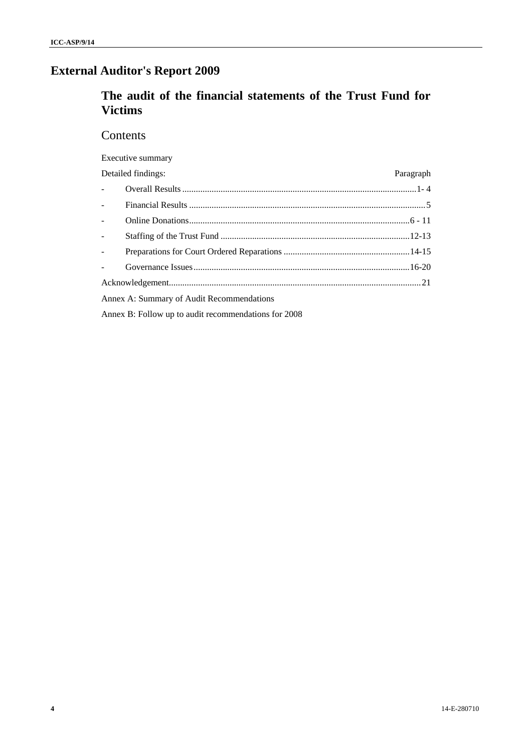# **External Auditor's Report 2009**

# **The audit of the financial statements of the Trust Fund for Victims**

# **Contents**

Executive summary

|                                    | Detailed findings:                        | Paragraph |
|------------------------------------|-------------------------------------------|-----------|
| $\omega_{\rm{max}}$                |                                           |           |
| a i                                |                                           |           |
| $\mathbb{R}^{\mathbb{Z}^{\times}}$ |                                           |           |
| $\overline{a}$                     |                                           |           |
| $\omega_{\rm{eff}}$                |                                           |           |
| $\mathbf{L}^{\text{max}}$          |                                           |           |
|                                    |                                           |           |
|                                    | Annex A: Summary of Audit Recommendations |           |

Annex B: Follow up to audit recommendations for 2008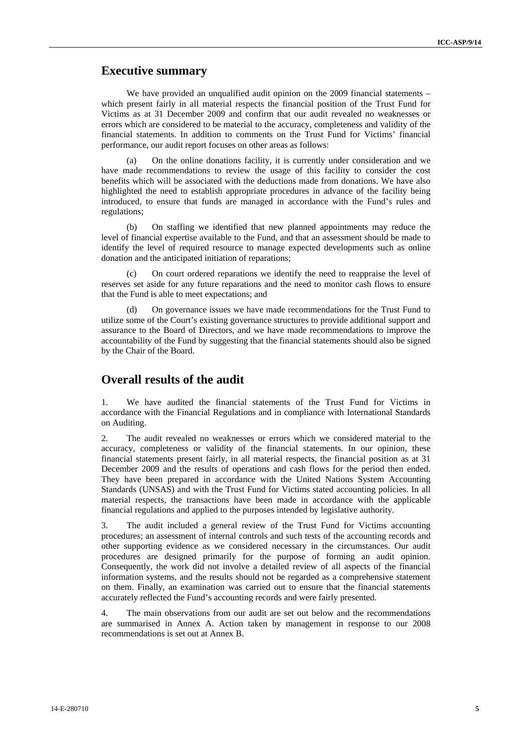### **Executive summary**

We have provided an unqualified audit opinion on the 2009 financial statements – which present fairly in all material respects the financial position of the Trust Fund for Victims as at 31 December 2009 and confirm that our audit revealed no weaknesses or errors which are considered to be material to the accuracy, completeness and validity of the financial statements. In addition to comments on the Trust Fund for Victims' financial performance, our audit report focuses on other areas as follows:

(a) On the online donations facility, it is currently under consideration and we have made recommendations to review the usage of this facility to consider the cost benefits which will be associated with the deductions made from donations. We have also highlighted the need to establish appropriate procedures in advance of the facility being introduced, to ensure that funds are managed in accordance with the Fund's rules and regulations;

(b) On staffing we identified that new planned appointments may reduce the level of financial expertise available to the Fund, and that an assessment should be made to identify the level of required resource to manage expected developments such as online donation and the anticipated initiation of reparations;

On court ordered reparations we identify the need to reappraise the level of reserves set aside for any future reparations and the need to monitor cash flows to ensure that the Fund is able to meet expectations; and

(d) On governance issues we have made recommendations for the Trust Fund to utilize some of the Court's existing governance structures to provide additional support and assurance to the Board of Directors, and we have made recommendations to improve the accountability of the Fund by suggesting that the financial statements should also be signed by the Chair of the Board.

### **Overall results of the audit**

1. We have audited the financial statements of the Trust Fund for Victims in accordance with the Financial Regulations and in compliance with International Standards on Auditing.

2. The audit revealed no weaknesses or errors which we considered material to the accuracy, completeness or validity of the financial statements. In our opinion, these financial statements present fairly, in all material respects, the financial position as at 31 December 2009 and the results of operations and cash flows for the period then ended. They have been prepared in accordance with the United Nations System Accounting Standards (UNSAS) and with the Trust Fund for Victims stated accounting policies. In all material respects, the transactions have been made in accordance with the applicable financial regulations and applied to the purposes intended by legislative authority.

3. The audit included a general review of the Trust Fund for Victims accounting procedures; an assessment of internal controls and such tests of the accounting records and other supporting evidence as we considered necessary in the circumstances. Our audit procedures are designed primarily for the purpose of forming an audit opinion. Consequently, the work did not involve a detailed review of all aspects of the financial information systems, and the results should not be regarded as a comprehensive statement on them. Finally, an examination was carried out to ensure that the financial statements accurately reflected the Fund's accounting records and were fairly presented.

4. The main observations from our audit are set out below and the recommendations are summarised in Annex A. Action taken by management in response to our 2008 recommendations is set out at Annex B.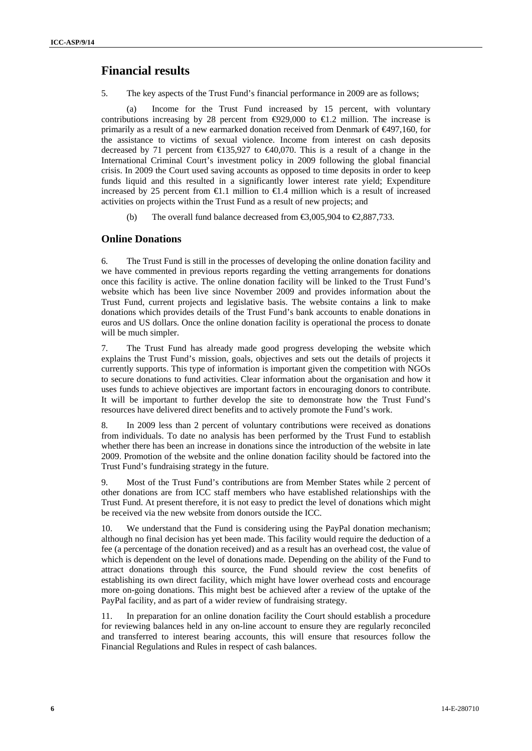### **Financial results**

5. The key aspects of the Trust Fund's financial performance in 2009 are as follows;

(a) Income for the Trust Fund increased by 15 percent, with voluntary contributions increasing by 28 percent from  $\Theta$ 29,000 to  $\Theta$ .2 million. The increase is primarily as a result of a new earmarked donation received from Denmark of €497,160, for the assistance to victims of sexual violence. Income from interest on cash deposits decreased by 71 percent from  $\text{E}35,927$  to  $\text{E}40,070$ . This is a result of a change in the International Criminal Court's investment policy in 2009 following the global financial crisis. In 2009 the Court used saving accounts as opposed to time deposits in order to keep funds liquid and this resulted in a significantly lower interest rate yield; Expenditure increased by 25 percent from  $\bigoplus$ .1 million to  $\bigoplus$ .4 million which is a result of increased activities on projects within the Trust Fund as a result of new projects; and

(b) The overall fund balance decreased from  $\epsilon$ 3,005,904 to  $\epsilon$ 2,887,733.

### **Online Donations**

6. The Trust Fund is still in the processes of developing the online donation facility and we have commented in previous reports regarding the vetting arrangements for donations once this facility is active. The online donation facility will be linked to the Trust Fund's website which has been live since November 2009 and provides information about the Trust Fund, current projects and legislative basis. The website contains a link to make donations which provides details of the Trust Fund's bank accounts to enable donations in euros and US dollars. Once the online donation facility is operational the process to donate will be much simpler.

7. The Trust Fund has already made good progress developing the website which explains the Trust Fund's mission, goals, objectives and sets out the details of projects it currently supports. This type of information is important given the competition with NGOs to secure donations to fund activities. Clear information about the organisation and how it uses funds to achieve objectives are important factors in encouraging donors to contribute. It will be important to further develop the site to demonstrate how the Trust Fund's resources have delivered direct benefits and to actively promote the Fund's work.

8. In 2009 less than 2 percent of voluntary contributions were received as donations from individuals. To date no analysis has been performed by the Trust Fund to establish whether there has been an increase in donations since the introduction of the website in late 2009. Promotion of the website and the online donation facility should be factored into the Trust Fund's fundraising strategy in the future.

9. Most of the Trust Fund's contributions are from Member States while 2 percent of other donations are from ICC staff members who have established relationships with the Trust Fund. At present therefore, it is not easy to predict the level of donations which might be received via the new website from donors outside the ICC.

10. We understand that the Fund is considering using the PayPal donation mechanism; although no final decision has yet been made. This facility would require the deduction of a fee (a percentage of the donation received) and as a result has an overhead cost, the value of which is dependent on the level of donations made. Depending on the ability of the Fund to attract donations through this source, the Fund should review the cost benefits of establishing its own direct facility, which might have lower overhead costs and encourage more on-going donations. This might best be achieved after a review of the uptake of the PayPal facility, and as part of a wider review of fundraising strategy.

11. In preparation for an online donation facility the Court should establish a procedure for reviewing balances held in any on-line account to ensure they are regularly reconciled and transferred to interest bearing accounts, this will ensure that resources follow the Financial Regulations and Rules in respect of cash balances.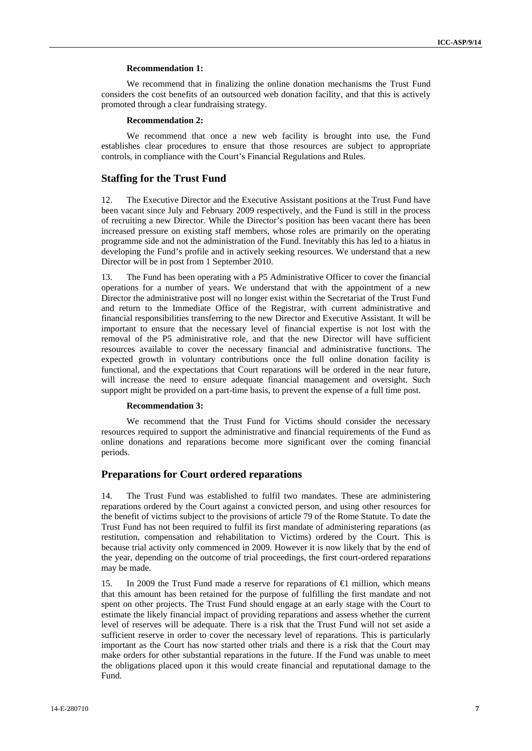### **Recommendation 1:**

We recommend that in finalizing the online donation mechanisms the Trust Fund considers the cost benefits of an outsourced web donation facility, and that this is actively promoted through a clear fundraising strategy.

#### **Recommendation 2:**

We recommend that once a new web facility is brought into use, the Fund establishes clear procedures to ensure that those resources are subject to appropriate controls, in compliance with the Court's Financial Regulations and Rules.

### **Staffing for the Trust Fund**

12. The Executive Director and the Executive Assistant positions at the Trust Fund have been vacant since July and February 2009 respectively, and the Fund is still in the process of recruiting a new Director. While the Director's position has been vacant there has been increased pressure on existing staff members, whose roles are primarily on the operating programme side and not the administration of the Fund. Inevitably this has led to a hiatus in developing the Fund's profile and in actively seeking resources. We understand that a new Director will be in post from 1 September 2010.

13. The Fund has been operating with a P5 Administrative Officer to cover the financial operations for a number of years. We understand that with the appointment of a new Director the administrative post will no longer exist within the Secretariat of the Trust Fund and return to the Immediate Office of the Registrar, with current administrative and financial responsibilities transferring to the new Director and Executive Assistant. It will be important to ensure that the necessary level of financial expertise is not lost with the removal of the P5 administrative role, and that the new Director will have sufficient resources available to cover the necessary financial and administrative functions. The expected growth in voluntary contributions once the full online donation facility is functional, and the expectations that Court reparations will be ordered in the near future, will increase the need to ensure adequate financial management and oversight. Such support might be provided on a part-time basis, to prevent the expense of a full time post.

### **Recommendation 3:**

We recommend that the Trust Fund for Victims should consider the necessary resources required to support the administrative and financial requirements of the Fund as online donations and reparations become more significant over the coming financial periods.

### **Preparations for Court ordered reparations**

14. The Trust Fund was established to fulfil two mandates. These are administering reparations ordered by the Court against a convicted person, and using other resources for the benefit of victims subject to the provisions of article 79 of the Rome Statute. To date the Trust Fund has not been required to fulfil its first mandate of administering reparations (as restitution, compensation and rehabilitation to Victims) ordered by the Court. This is because trial activity only commenced in 2009. However it is now likely that by the end of the year, depending on the outcome of trial proceedings, the first court-ordered reparations may be made.

15. In 2009 the Trust Fund made a reserve for reparations of €1 million, which means that this amount has been retained for the purpose of fulfilling the first mandate and not spent on other projects. The Trust Fund should engage at an early stage with the Court to estimate the likely financial impact of providing reparations and assess whether the current level of reserves will be adequate. There is a risk that the Trust Fund will not set aside a sufficient reserve in order to cover the necessary level of reparations. This is particularly important as the Court has now started other trials and there is a risk that the Court may make orders for other substantial reparations in the future. If the Fund was unable to meet the obligations placed upon it this would create financial and reputational damage to the Fund.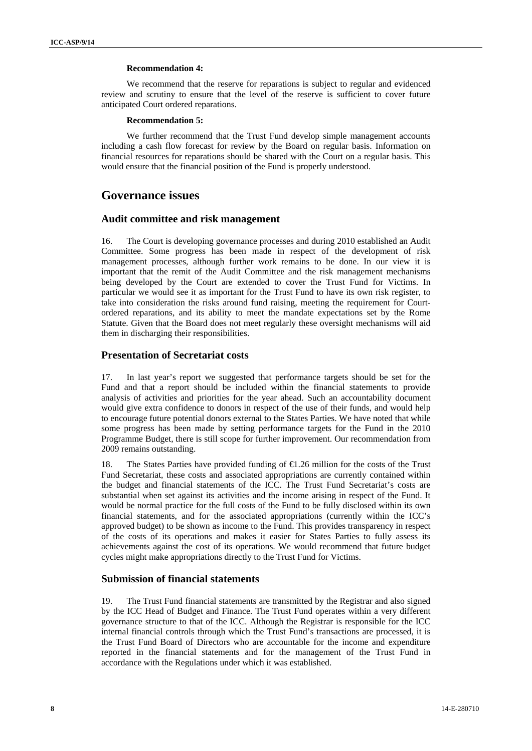### **Recommendation 4:**

We recommend that the reserve for reparations is subject to regular and evidenced review and scrutiny to ensure that the level of the reserve is sufficient to cover future anticipated Court ordered reparations.

#### **Recommendation 5:**

We further recommend that the Trust Fund develop simple management accounts including a cash flow forecast for review by the Board on regular basis. Information on financial resources for reparations should be shared with the Court on a regular basis. This would ensure that the financial position of the Fund is properly understood.

### **Governance issues**

### **Audit committee and risk management**

16. The Court is developing governance processes and during 2010 established an Audit Committee. Some progress has been made in respect of the development of risk management processes, although further work remains to be done. In our view it is important that the remit of the Audit Committee and the risk management mechanisms being developed by the Court are extended to cover the Trust Fund for Victims. In particular we would see it as important for the Trust Fund to have its own risk register, to take into consideration the risks around fund raising, meeting the requirement for Courtordered reparations, and its ability to meet the mandate expectations set by the Rome Statute. Given that the Board does not meet regularly these oversight mechanisms will aid them in discharging their responsibilities.

### **Presentation of Secretariat costs**

17. In last year's report we suggested that performance targets should be set for the Fund and that a report should be included within the financial statements to provide analysis of activities and priorities for the year ahead. Such an accountability document would give extra confidence to donors in respect of the use of their funds, and would help to encourage future potential donors external to the States Parties. We have noted that while some progress has been made by setting performance targets for the Fund in the 2010 Programme Budget, there is still scope for further improvement. Our recommendation from 2009 remains outstanding.

18. The States Parties have provided funding of  $\epsilon$ 1.26 million for the costs of the Trust Fund Secretariat, these costs and associated appropriations are currently contained within the budget and financial statements of the ICC. The Trust Fund Secretariat's costs are substantial when set against its activities and the income arising in respect of the Fund. It would be normal practice for the full costs of the Fund to be fully disclosed within its own financial statements, and for the associated appropriations (currently within the ICC's approved budget) to be shown as income to the Fund. This provides transparency in respect of the costs of its operations and makes it easier for States Parties to fully assess its achievements against the cost of its operations. We would recommend that future budget cycles might make appropriations directly to the Trust Fund for Victims.

### **Submission of financial statements**

19. The Trust Fund financial statements are transmitted by the Registrar and also signed by the ICC Head of Budget and Finance. The Trust Fund operates within a very different governance structure to that of the ICC. Although the Registrar is responsible for the ICC internal financial controls through which the Trust Fund's transactions are processed, it is the Trust Fund Board of Directors who are accountable for the income and expenditure reported in the financial statements and for the management of the Trust Fund in accordance with the Regulations under which it was established.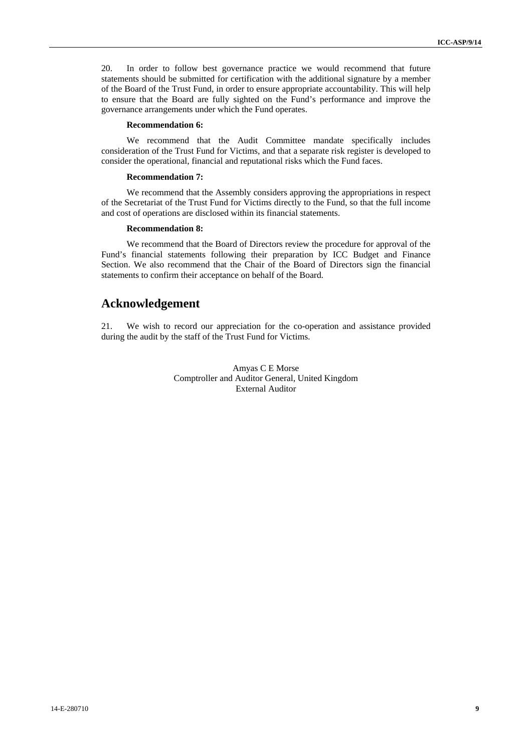20. In order to follow best governance practice we would recommend that future statements should be submitted for certification with the additional signature by a member of the Board of the Trust Fund, in order to ensure appropriate accountability. This will help to ensure that the Board are fully sighted on the Fund's performance and improve the governance arrangements under which the Fund operates.

### **Recommendation 6:**

We recommend that the Audit Committee mandate specifically includes consideration of the Trust Fund for Victims, and that a separate risk register is developed to consider the operational, financial and reputational risks which the Fund faces.

### **Recommendation 7:**

We recommend that the Assembly considers approving the appropriations in respect of the Secretariat of the Trust Fund for Victims directly to the Fund, so that the full income and cost of operations are disclosed within its financial statements.

### **Recommendation 8:**

We recommend that the Board of Directors review the procedure for approval of the Fund's financial statements following their preparation by ICC Budget and Finance Section. We also recommend that the Chair of the Board of Directors sign the financial statements to confirm their acceptance on behalf of the Board.

### **Acknowledgement**

21. We wish to record our appreciation for the co-operation and assistance provided during the audit by the staff of the Trust Fund for Victims.

> Amyas C E Morse Comptroller and Auditor General, United Kingdom External Auditor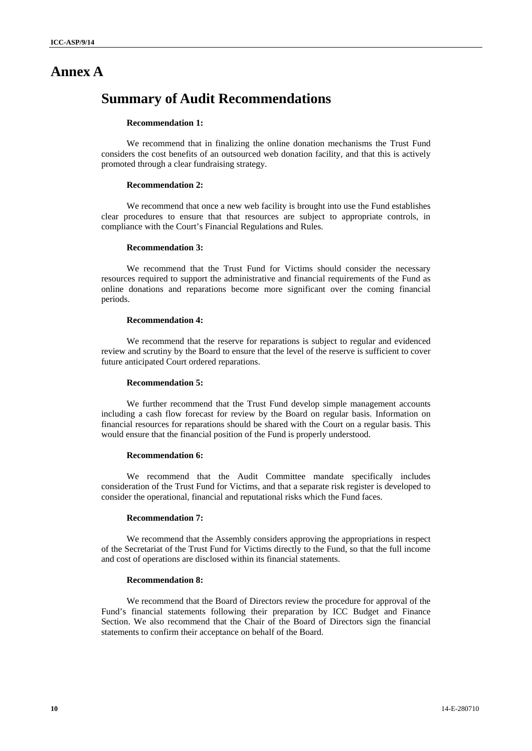# **Annex A**

# **Summary of Audit Recommendations**

### **Recommendation 1:**

We recommend that in finalizing the online donation mechanisms the Trust Fund considers the cost benefits of an outsourced web donation facility, and that this is actively promoted through a clear fundraising strategy.

### **Recommendation 2:**

We recommend that once a new web facility is brought into use the Fund establishes clear procedures to ensure that that resources are subject to appropriate controls, in compliance with the Court's Financial Regulations and Rules.

### **Recommendation 3:**

We recommend that the Trust Fund for Victims should consider the necessary resources required to support the administrative and financial requirements of the Fund as online donations and reparations become more significant over the coming financial periods.

#### **Recommendation 4:**

We recommend that the reserve for reparations is subject to regular and evidenced review and scrutiny by the Board to ensure that the level of the reserve is sufficient to cover future anticipated Court ordered reparations.

#### **Recommendation 5:**

We further recommend that the Trust Fund develop simple management accounts including a cash flow forecast for review by the Board on regular basis. Information on financial resources for reparations should be shared with the Court on a regular basis. This would ensure that the financial position of the Fund is properly understood.

### **Recommendation 6:**

We recommend that the Audit Committee mandate specifically includes consideration of the Trust Fund for Victims, and that a separate risk register is developed to consider the operational, financial and reputational risks which the Fund faces.

#### **Recommendation 7:**

We recommend that the Assembly considers approving the appropriations in respect of the Secretariat of the Trust Fund for Victims directly to the Fund, so that the full income and cost of operations are disclosed within its financial statements.

### **Recommendation 8:**

We recommend that the Board of Directors review the procedure for approval of the Fund's financial statements following their preparation by ICC Budget and Finance Section. We also recommend that the Chair of the Board of Directors sign the financial statements to confirm their acceptance on behalf of the Board.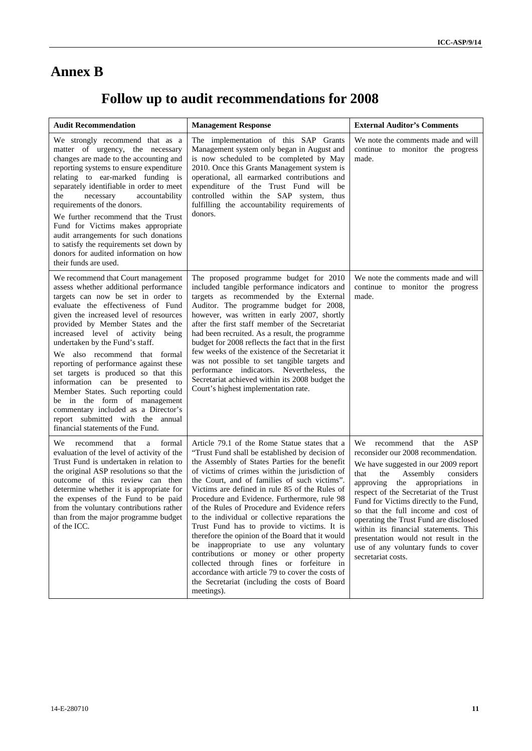# **Annex B**

# **Follow up to audit recommendations for 2008**

| <b>Audit Recommendation</b>                                                                                                                                                                                                                                                                                                                                                                                                                                                                                                                                                                                                                                 | <b>Management Response</b>                                                                                                                                                                                                                                                                                                                                                                                                                                                                                                                                                                                                                                                                                                                                                                                         | <b>External Auditor's Comments</b>                                                                                                                                                                                                                                                                                                                                                                                                                                                                                  |  |
|-------------------------------------------------------------------------------------------------------------------------------------------------------------------------------------------------------------------------------------------------------------------------------------------------------------------------------------------------------------------------------------------------------------------------------------------------------------------------------------------------------------------------------------------------------------------------------------------------------------------------------------------------------------|--------------------------------------------------------------------------------------------------------------------------------------------------------------------------------------------------------------------------------------------------------------------------------------------------------------------------------------------------------------------------------------------------------------------------------------------------------------------------------------------------------------------------------------------------------------------------------------------------------------------------------------------------------------------------------------------------------------------------------------------------------------------------------------------------------------------|---------------------------------------------------------------------------------------------------------------------------------------------------------------------------------------------------------------------------------------------------------------------------------------------------------------------------------------------------------------------------------------------------------------------------------------------------------------------------------------------------------------------|--|
| We strongly recommend that as a<br>matter of urgency, the necessary<br>changes are made to the accounting and<br>reporting systems to ensure expenditure<br>relating to ear-marked funding is<br>separately identifiable in order to meet<br>the<br>necessary<br>accountability<br>requirements of the donors.<br>We further recommend that the Trust<br>Fund for Victims makes appropriate<br>audit arrangements for such donations<br>to satisfy the requirements set down by<br>donors for audited information on how<br>their funds are used.                                                                                                           | The implementation of this SAP Grants<br>Management system only began in August and<br>is now scheduled to be completed by May<br>2010. Once this Grants Management system is<br>operational, all earmarked contributions and<br>expenditure of the Trust Fund will be<br>controlled within the SAP system, thus<br>fulfilling the accountability requirements of<br>donors.                                                                                                                                                                                                                                                                                                                                                                                                                                       | We note the comments made and will<br>continue to monitor the progress<br>made.                                                                                                                                                                                                                                                                                                                                                                                                                                     |  |
| We recommend that Court management<br>assess whether additional performance<br>targets can now be set in order to<br>evaluate the effectiveness of Fund<br>given the increased level of resources<br>provided by Member States and the<br>increased level of activity being<br>undertaken by the Fund's staff.<br>We also recommend that formal<br>reporting of performance against these<br>set targets is produced so that this<br>information can be presented to<br>Member States. Such reporting could<br>be in the form of management<br>commentary included as a Director's<br>report submitted with the annual<br>financial statements of the Fund. | The proposed programme budget for 2010<br>included tangible performance indicators and<br>targets as recommended by the External<br>Auditor. The programme budget for 2008,<br>however, was written in early 2007, shortly<br>after the first staff member of the Secretariat<br>had been recruited. As a result, the programme<br>budget for 2008 reflects the fact that in the first<br>few weeks of the existence of the Secretariat it<br>was not possible to set tangible targets and<br>performance indicators. Nevertheless, the<br>Secretariat achieved within its 2008 budget the<br>Court's highest implementation rate.                                                                                                                                                                                 | We note the comments made and will<br>continue to monitor the progress<br>made.                                                                                                                                                                                                                                                                                                                                                                                                                                     |  |
| formal<br>We.<br>recommend<br>that<br>a<br>evaluation of the level of activity of the<br>Trust Fund is undertaken in relation to<br>the original ASP resolutions so that the<br>outcome of this review can then<br>determine whether it is appropriate for<br>the expenses of the Fund to be paid<br>from the voluntary contributions rather<br>than from the major programme budget<br>of the ICC.                                                                                                                                                                                                                                                         | Article 79.1 of the Rome Statue states that a<br>"Trust Fund shall be established by decision of<br>the Assembly of States Parties for the benefit<br>of victims of crimes within the jurisdiction of<br>the Court, and of families of such victims".<br>Victims are defined in rule 85 of the Rules of<br>Procedure and Evidence. Furthermore, rule 98<br>of the Rules of Procedure and Evidence refers<br>to the individual or collective reparations the<br>Trust Fund has to provide to victims. It is<br>therefore the opinion of the Board that it would<br>be inappropriate to use any voluntary<br>contributions or money or other property<br>collected through fines or forfeiture in<br>accordance with article 79 to cover the costs of<br>the Secretariat (including the costs of Board<br>meetings). | that<br>the ASP<br>We recommend<br>reconsider our 2008 recommendation.<br>We have suggested in our 2009 report<br>the<br>Assembly<br>that<br>considers<br>approving<br>the appropriations<br>in<br>respect of the Secretariat of the Trust<br>Fund for Victims directly to the Fund,<br>so that the full income and cost of<br>operating the Trust Fund are disclosed<br>within its financial statements. This<br>presentation would not result in the<br>use of any voluntary funds to cover<br>secretariat costs. |  |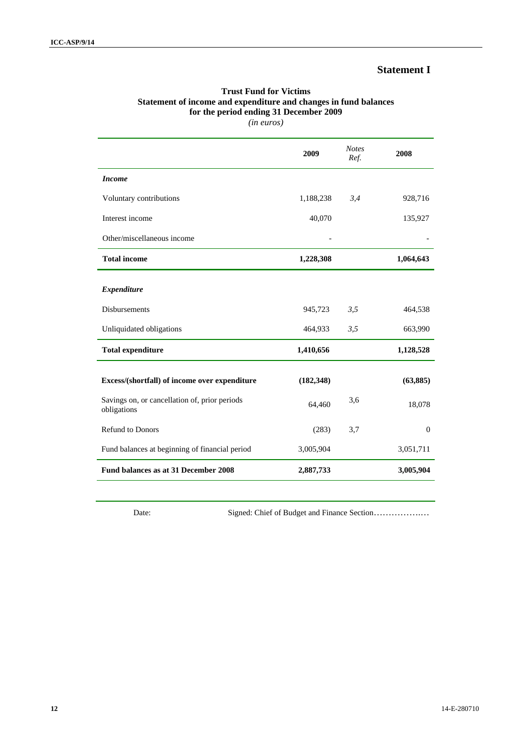## **Statement I**

# **Trust Fund for Victims Statement of income and expenditure and changes in fund balances for the period ending 31 December 2009**

*(in euros)* 

|                                                              | 2009       | <b>Notes</b><br>Ref. | 2008           |
|--------------------------------------------------------------|------------|----------------------|----------------|
| <b>Income</b>                                                |            |                      |                |
| Voluntary contributions                                      | 1,188,238  | 3,4                  | 928,716        |
| Interest income                                              | 40,070     |                      | 135,927        |
| Other/miscellaneous income                                   |            |                      |                |
| <b>Total income</b>                                          | 1,228,308  |                      | 1,064,643      |
| <b>Expenditure</b>                                           |            |                      |                |
| <b>Disbursements</b>                                         | 945,723    | 3,5                  | 464,538        |
| Unliquidated obligations                                     | 464,933    | 3,5                  | 663,990        |
| <b>Total expenditure</b>                                     | 1,410,656  |                      | 1,128,528      |
| Excess/(shortfall) of income over expenditure                | (182, 348) |                      | (63,885)       |
| Savings on, or cancellation of, prior periods<br>obligations | 64,460     | 3,6                  | 18,078         |
| <b>Refund to Donors</b>                                      | (283)      | 3,7                  | $\overline{0}$ |
| Fund balances at beginning of financial period               | 3,005,904  |                      | 3,051,711      |
| Fund balances as at 31 December 2008                         | 2,887,733  |                      | 3,005,904      |

Date: Signed: Chief of Budget and Finance Section……………….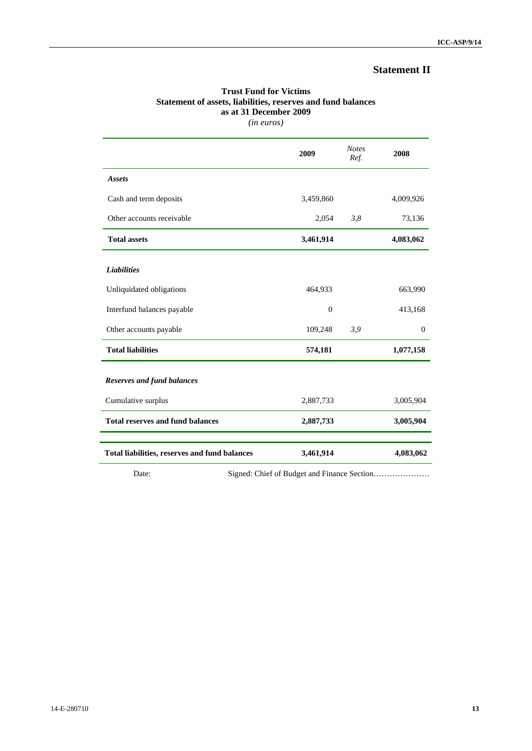# **Statement II**

### **Trust Fund for Victims Statement of assets, liabilities, reserves and fund balances as at 31 December 2009**  *(in euros)*

|                                               | 2009         | <b>Notes</b><br>Ref. | 2008      |
|-----------------------------------------------|--------------|----------------------|-----------|
| <b>Assets</b>                                 |              |                      |           |
| Cash and term deposits                        | 3,459,860    |                      | 4,009,926 |
| Other accounts receivable                     | 2,054        | 3,8                  | 73,136    |
| <b>Total assets</b>                           | 3,461,914    |                      | 4,083,062 |
| <b>Liabilities</b>                            |              |                      |           |
| Unliquidated obligations                      | 464,933      |                      | 663,990   |
| Interfund balances payable                    | $\mathbf{0}$ |                      | 413,168   |
| Other accounts payable                        | 109,248      | 3,9                  | $\theta$  |
| <b>Total liabilities</b>                      | 574,181      |                      | 1,077,158 |
| <b>Reserves and fund balances</b>             |              |                      |           |
| Cumulative surplus                            | 2,887,733    |                      | 3,005,904 |
| <b>Total reserves and fund balances</b>       | 2,887,733    |                      | 3,005,904 |
| Total liabilities, reserves and fund balances | 3,461,914    |                      | 4,083,062 |

Date: Signed: Chief of Budget and Finance Section…………………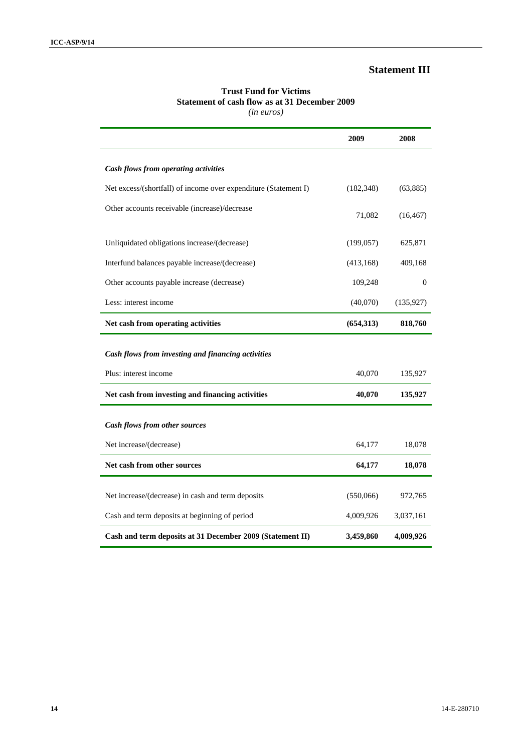### **Statement III**

### **Trust Fund for Victims Statement of cash flow as at 31 December 2009** *(in euros)*

|                                                                 | 2009       | 2008         |
|-----------------------------------------------------------------|------------|--------------|
| Cash flows from operating activities                            |            |              |
| Net excess/(shortfall) of income over expenditure (Statement I) | (182, 348) | (63,885)     |
| Other accounts receivable (increase)/decrease                   | 71,082     | (16, 467)    |
| Unliquidated obligations increase/(decrease)                    | (199, 057) | 625,871      |
| Interfund balances payable increase/(decrease)                  | (413, 168) | 409,168      |
| Other accounts payable increase (decrease)                      | 109,248    | $\mathbf{0}$ |
| Less: interest income                                           | (40,070)   | (135, 927)   |
| Net cash from operating activities                              | (654, 313) | 818,760      |
|                                                                 |            |              |
| Cash flows from investing and financing activities              |            |              |
| Plus: interest income                                           | 40,070     | 135,927      |
| Net cash from investing and financing activities                | 40,070     | 135,927      |
| Cash flows from other sources                                   |            |              |
| Net increase/(decrease)                                         | 64,177     | 18,078       |
| Net cash from other sources                                     | 64,177     | 18,078       |
| Net increase/(decrease) in cash and term deposits               | (550,066)  | 972,765      |
| Cash and term deposits at beginning of period                   | 4,009,926  | 3,037,161    |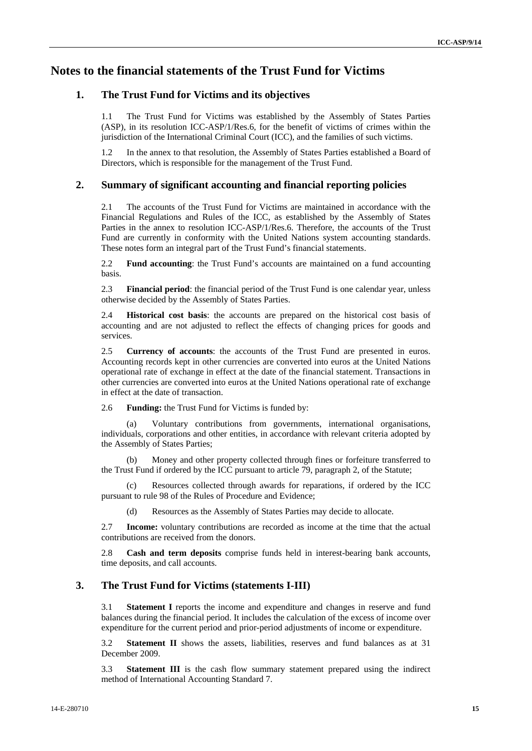# **Notes to the financial statements of the Trust Fund for Victims**

### **1. The Trust Fund for Victims and its objectives**

1.1 The Trust Fund for Victims was established by the Assembly of States Parties (ASP), in its resolution ICC-ASP/1/Res.6, for the benefit of victims of crimes within the jurisdiction of the International Criminal Court (ICC), and the families of such victims.

In the annex to that resolution, the Assembly of States Parties established a Board of Directors, which is responsible for the management of the Trust Fund.

### **2. Summary of significant accounting and financial reporting policies**

2.1 The accounts of the Trust Fund for Victims are maintained in accordance with the Financial Regulations and Rules of the ICC, as established by the Assembly of States Parties in the annex to resolution ICC-ASP/1/Res.6. Therefore, the accounts of the Trust Fund are currently in conformity with the United Nations system accounting standards. These notes form an integral part of the Trust Fund's financial statements.

2.2 **Fund accounting**: the Trust Fund's accounts are maintained on a fund accounting basis.

2.3 **Financial period**: the financial period of the Trust Fund is one calendar year, unless otherwise decided by the Assembly of States Parties.

2.4 **Historical cost basis**: the accounts are prepared on the historical cost basis of accounting and are not adjusted to reflect the effects of changing prices for goods and services.

2.5 **Currency of accounts**: the accounts of the Trust Fund are presented in euros. Accounting records kept in other currencies are converted into euros at the United Nations operational rate of exchange in effect at the date of the financial statement. Transactions in other currencies are converted into euros at the United Nations operational rate of exchange in effect at the date of transaction.

2.6 **Funding:** the Trust Fund for Victims is funded by:

(a) Voluntary contributions from governments, international organisations, individuals, corporations and other entities, in accordance with relevant criteria adopted by the Assembly of States Parties;

Money and other property collected through fines or forfeiture transferred to the Trust Fund if ordered by the ICC pursuant to article 79, paragraph 2, of the Statute;

(c) Resources collected through awards for reparations, if ordered by the ICC pursuant to rule 98 of the Rules of Procedure and Evidence;

(d) Resources as the Assembly of States Parties may decide to allocate.

2.7 **Income:** voluntary contributions are recorded as income at the time that the actual contributions are received from the donors.

2.8 **Cash and term deposits** comprise funds held in interest-bearing bank accounts, time deposits, and call accounts.

### **3. The Trust Fund for Victims (statements I-III)**

3.1 **Statement I** reports the income and expenditure and changes in reserve and fund balances during the financial period. It includes the calculation of the excess of income over expenditure for the current period and prior-period adjustments of income or expenditure.

3.2 **Statement II** shows the assets, liabilities, reserves and fund balances as at 31 December 2009.

3.3 **Statement III** is the cash flow summary statement prepared using the indirect method of International Accounting Standard 7.